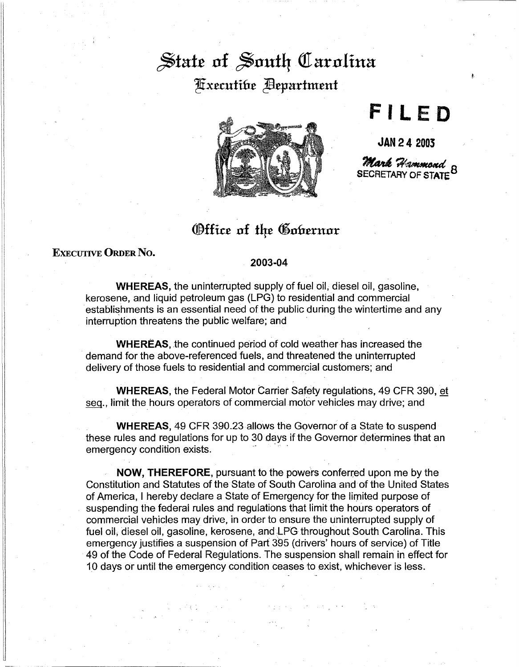## $\frac{1}{2}$  state of South Carolina Fixecutibe **Expartment**



**FILE 0** 

**JAN 24 2003 Mark Hammond**<br>SECRETARY OF STATE

## Office of the Gobernor

## EXEcUTIVE ORDER No.

## 2003-04

**WHEREAS,** the uninterrupted supply of fuel oil, diesel oil, gasoline, kerosene, and liquid petroleum gas (LPG) to residential and commercial establishments is an essential need of the public during the wintertime and any interruption threatens the public welfare; and

**WHEREAS,** the continued period of cold weather has increased the demand for the above-referenced fuels, and threatened the uninterrupted delivery of those fuels to residential and commercial customers; and

**WHEREAS,** the Federal Motor Carrier Safety regulations, 49 CFR 390, et seq., limit the hours operators of commercial motor vehicles may drive; and

**WHEREAS,** 49 CFR 390.23 allows the Governor of a State to suspend these rules and regulations for up to 30 days if the Governor determines that an emergency condition exists.

**NOW, THEREFORE,** pursuant to the powers conferred upon me by the Constitution and Statutes of the State of South Carolina and of the United States of America, I hereby declare a State of Emergency for the limited purpose of suspending the federal rules and regulations that limit the hours operators of commercial vehicles may drive, in order to ensure the uninterrupted supply of fuel oil, diesel oil, gasoline, kerosene, and LPG throughout South Carolina. This emergency justifies a suspension of Part 395 (drivers' hours of service) of Title 49 of the Code of Federal Regulations. The suspension shall remain in effect for 10 days or until the emergency condition ceases to exist, whichever is less.

.<br>Kalendari Sun